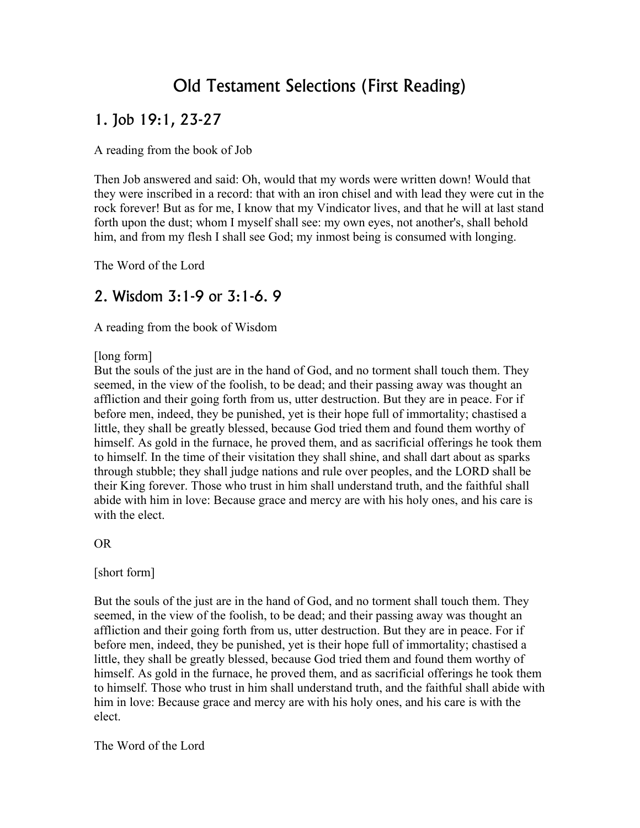# Old Testament Selections (First Reading)

## 1. Job 19:1, 23-27

A reading from the book of Job

Then Job answered and said: Oh, would that my words were written down! Would that they were inscribed in a record: that with an iron chisel and with lead they were cut in the rock forever! But as for me, I know that my Vindicator lives, and that he will at last stand forth upon the dust; whom I myself shall see: my own eyes, not another's, shall behold him, and from my flesh I shall see God; my inmost being is consumed with longing.

The Word of the Lord

### 2. Wisdom 3:1-9 or 3:1-6. 9

A reading from the book of Wisdom

#### [long form]

But the souls of the just are in the hand of God, and no torment shall touch them. They seemed, in the view of the foolish, to be dead; and their passing away was thought an affliction and their going forth from us, utter destruction. But they are in peace. For if before men, indeed, they be punished, yet is their hope full of immortality; chastised a little, they shall be greatly blessed, because God tried them and found them worthy of himself. As gold in the furnace, he proved them, and as sacrificial offerings he took them to himself. In the time of their visitation they shall shine, and shall dart about as sparks through stubble; they shall judge nations and rule over peoples, and the LORD shall be their King forever. Those who trust in him shall understand truth, and the faithful shall abide with him in love: Because grace and mercy are with his holy ones, and his care is with the elect.

#### OR

[short form]

But the souls of the just are in the hand of God, and no torment shall touch them. They seemed, in the view of the foolish, to be dead; and their passing away was thought an affliction and their going forth from us, utter destruction. But they are in peace. For if before men, indeed, they be punished, yet is their hope full of immortality; chastised a little, they shall be greatly blessed, because God tried them and found them worthy of himself. As gold in the furnace, he proved them, and as sacrificial offerings he took them to himself. Those who trust in him shall understand truth, and the faithful shall abide with him in love: Because grace and mercy are with his holy ones, and his care is with the elect.

The Word of the Lord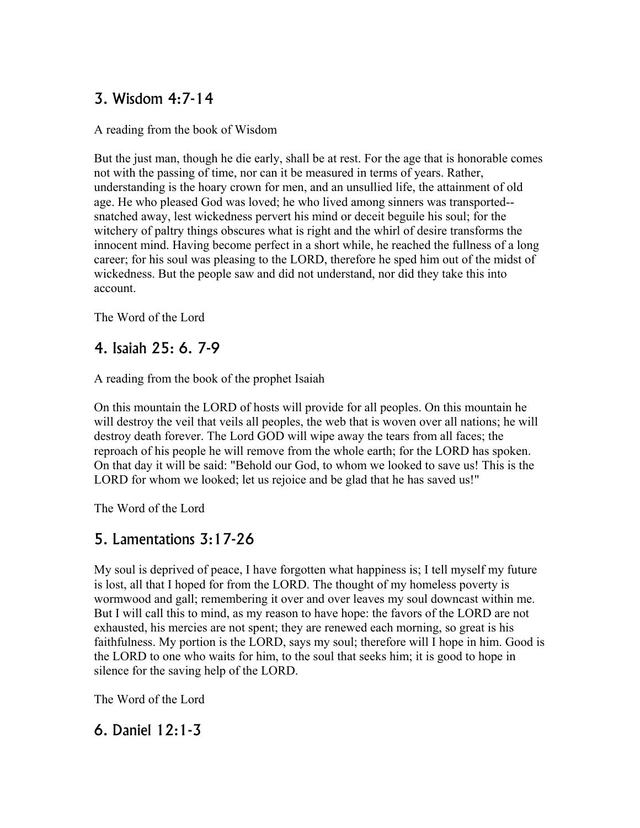## 3. Wisdom 4:7-14

A reading from the book of Wisdom

But the just man, though he die early, shall be at rest. For the age that is honorable comes not with the passing of time, nor can it be measured in terms of years. Rather, understanding is the hoary crown for men, and an unsullied life, the attainment of old age. He who pleased God was loved; he who lived among sinners was transported- snatched away, lest wickedness pervert his mind or deceit beguile his soul; for the witchery of paltry things obscures what is right and the whirl of desire transforms the innocent mind. Having become perfect in a short while, he reached the fullness of a long career; for his soul was pleasing to the LORD, therefore he sped him out of the midst of wickedness. But the people saw and did not understand, nor did they take this into account.

The Word of the Lord

### 4. Isaiah 25: 6. 7-9

A reading from the book of the prophet Isaiah

On this mountain the LORD of hosts will provide for all peoples. On this mountain he will destroy the veil that veils all peoples, the web that is woven over all nations; he will destroy death forever. The Lord GOD will wipe away the tears from all faces; the reproach of his people he will remove from the whole earth; for the LORD has spoken. On that day it will be said: "Behold our God, to whom we looked to save us! This is the LORD for whom we looked; let us rejoice and be glad that he has saved us!"

The Word of the Lord

## 5. Lamentations 3:17-26

My soul is deprived of peace, I have forgotten what happiness is; I tell myself my future is lost, all that I hoped for from the LORD. The thought of my homeless poverty is wormwood and gall; remembering it over and over leaves my soul downcast within me. But I will call this to mind, as my reason to have hope: the favors of the LORD are not exhausted, his mercies are not spent; they are renewed each morning, so great is his faithfulness. My portion is the LORD, says my soul; therefore will I hope in him. Good is the LORD to one who waits for him, to the soul that seeks him; it is good to hope in silence for the saving help of the LORD.

The Word of the Lord

## 6. Daniel 12:1-3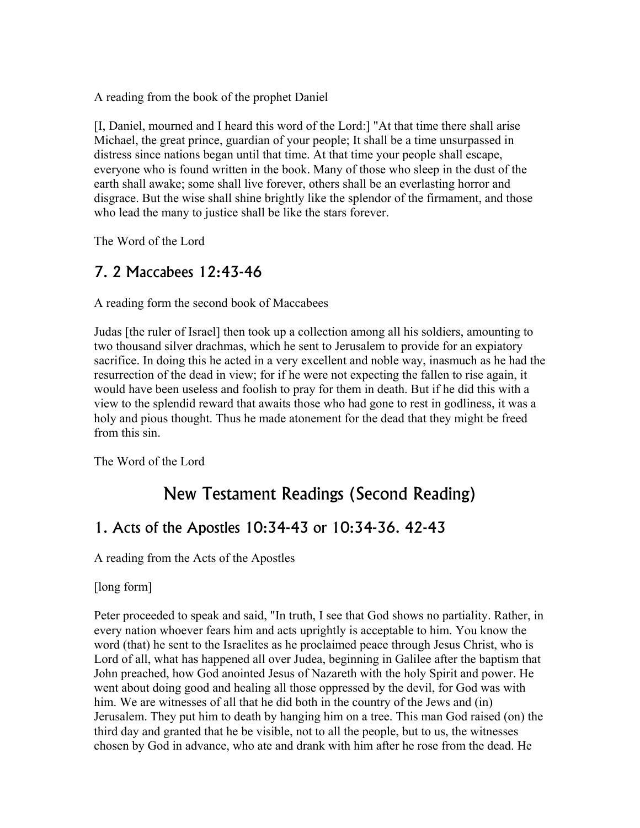A reading from the book of the prophet Daniel

[I, Daniel, mourned and I heard this word of the Lord:] "At that time there shall arise Michael, the great prince, guardian of your people; It shall be a time unsurpassed in distress since nations began until that time. At that time your people shall escape, everyone who is found written in the book. Many of those who sleep in the dust of the earth shall awake; some shall live forever, others shall be an everlasting horror and disgrace. But the wise shall shine brightly like the splendor of the firmament, and those who lead the many to justice shall be like the stars forever.

The Word of the Lord

### 7. 2 Maccabees 12:43-46

A reading form the second book of Maccabees

Judas [the ruler of Israel] then took up a collection among all his soldiers, amounting to two thousand silver drachmas, which he sent to Jerusalem to provide for an expiatory sacrifice. In doing this he acted in a very excellent and noble way, inasmuch as he had the resurrection of the dead in view; for if he were not expecting the fallen to rise again, it would have been useless and foolish to pray for them in death. But if he did this with a view to the splendid reward that awaits those who had gone to rest in godliness, it was a holy and pious thought. Thus he made atonement for the dead that they might be freed from this sin.

The Word of the Lord

# New Testament Readings (Second Reading)

## 1. Acts of the Apostles 10:34-43 or 10:34-36. 42-43

A reading from the Acts of the Apostles

[long form]

Peter proceeded to speak and said, "In truth, I see that God shows no partiality. Rather, in every nation whoever fears him and acts uprightly is acceptable to him. You know the word (that) he sent to the Israelites as he proclaimed peace through Jesus Christ, who is Lord of all, what has happened all over Judea, beginning in Galilee after the baptism that John preached, how God anointed Jesus of Nazareth with the holy Spirit and power. He went about doing good and healing all those oppressed by the devil, for God was with him. We are witnesses of all that he did both in the country of the Jews and (in) Jerusalem. They put him to death by hanging him on a tree. This man God raised (on) the third day and granted that he be visible, not to all the people, but to us, the witnesses chosen by God in advance, who ate and drank with him after he rose from the dead. He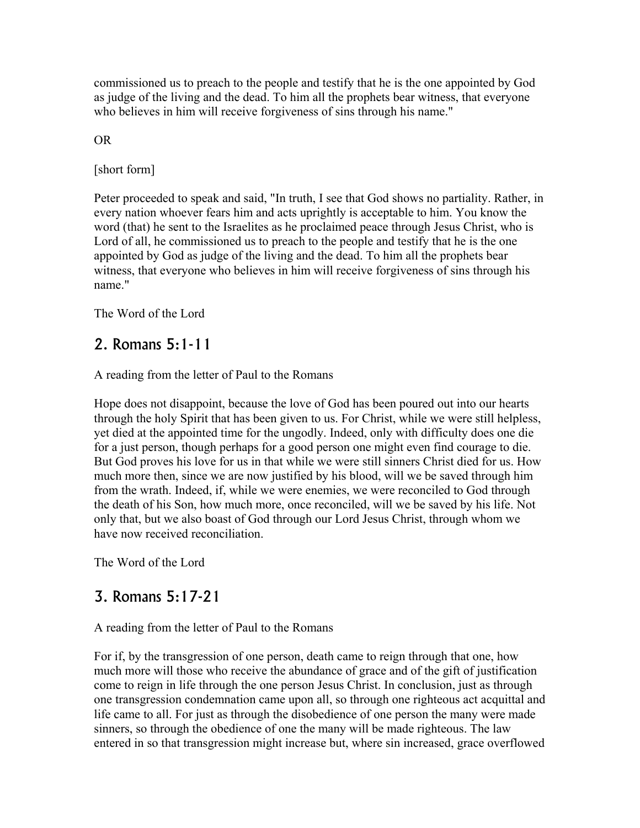commissioned us to preach to the people and testify that he is the one appointed by God as judge of the living and the dead. To him all the prophets bear witness, that everyone who believes in him will receive forgiveness of sins through his name."

#### OR

#### [short form]

Peter proceeded to speak and said, "In truth, I see that God shows no partiality. Rather, in every nation whoever fears him and acts uprightly is acceptable to him. You know the word (that) he sent to the Israelites as he proclaimed peace through Jesus Christ, who is Lord of all, he commissioned us to preach to the people and testify that he is the one appointed by God as judge of the living and the dead. To him all the prophets bear witness, that everyone who believes in him will receive forgiveness of sins through his name."

The Word of the Lord

#### 2. Romans 5:1-11

A reading from the letter of Paul to the Romans

Hope does not disappoint, because the love of God has been poured out into our hearts through the holy Spirit that has been given to us. For Christ, while we were still helpless, yet died at the appointed time for the ungodly. Indeed, only with difficulty does one die for a just person, though perhaps for a good person one might even find courage to die. But God proves his love for us in that while we were still sinners Christ died for us. How much more then, since we are now justified by his blood, will we be saved through him from the wrath. Indeed, if, while we were enemies, we were reconciled to God through the death of his Son, how much more, once reconciled, will we be saved by his life. Not only that, but we also boast of God through our Lord Jesus Christ, through whom we have now received reconciliation.

The Word of the Lord

### 3. Romans 5:17-21

#### A reading from the letter of Paul to the Romans

For if, by the transgression of one person, death came to reign through that one, how much more will those who receive the abundance of grace and of the gift of justification come to reign in life through the one person Jesus Christ. In conclusion, just as through one transgression condemnation came upon all, so through one righteous act acquittal and life came to all. For just as through the disobedience of one person the many were made sinners, so through the obedience of one the many will be made righteous. The law entered in so that transgression might increase but, where sin increased, grace overflowed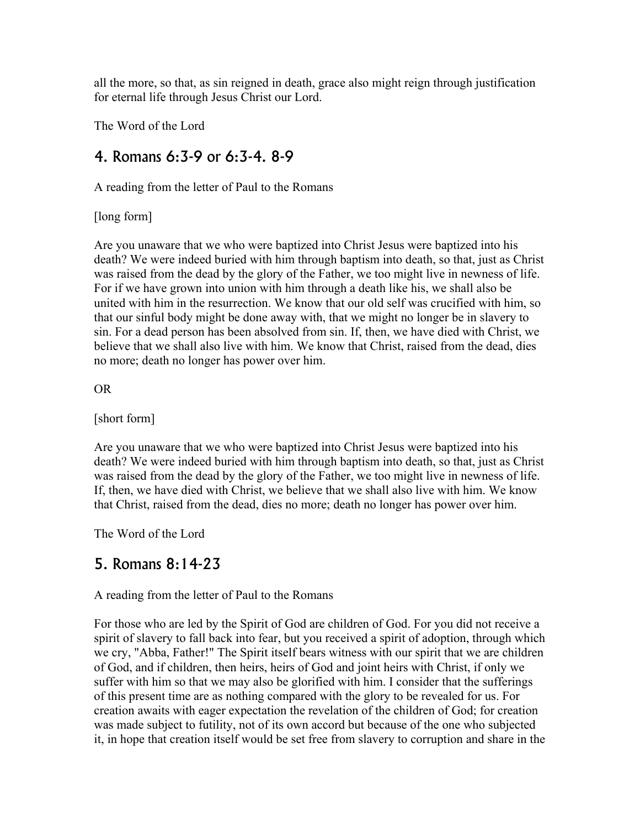all the more, so that, as sin reigned in death, grace also might reign through justification for eternal life through Jesus Christ our Lord.

The Word of the Lord

### 4. Romans 6:3-9 or 6:3-4. 8-9

A reading from the letter of Paul to the Romans

[long form]

Are you unaware that we who were baptized into Christ Jesus were baptized into his death? We were indeed buried with him through baptism into death, so that, just as Christ was raised from the dead by the glory of the Father, we too might live in newness of life. For if we have grown into union with him through a death like his, we shall also be united with him in the resurrection. We know that our old self was crucified with him, so that our sinful body might be done away with, that we might no longer be in slavery to sin. For a dead person has been absolved from sin. If, then, we have died with Christ, we believe that we shall also live with him. We know that Christ, raised from the dead, dies no more; death no longer has power over him.

OR

[short form]

Are you unaware that we who were baptized into Christ Jesus were baptized into his death? We were indeed buried with him through baptism into death, so that, just as Christ was raised from the dead by the glory of the Father, we too might live in newness of life. If, then, we have died with Christ, we believe that we shall also live with him. We know that Christ, raised from the dead, dies no more; death no longer has power over him.

The Word of the Lord

### 5. Romans 8:14-23

#### A reading from the letter of Paul to the Romans

For those who are led by the Spirit of God are children of God. For you did not receive a spirit of slavery to fall back into fear, but you received a spirit of adoption, through which we cry, "Abba, Father!" The Spirit itself bears witness with our spirit that we are children of God, and if children, then heirs, heirs of God and joint heirs with Christ, if only we suffer with him so that we may also be glorified with him. I consider that the sufferings of this present time are as nothing compared with the glory to be revealed for us. For creation awaits with eager expectation the revelation of the children of God; for creation was made subject to futility, not of its own accord but because of the one who subjected it, in hope that creation itself would be set free from slavery to corruption and share in the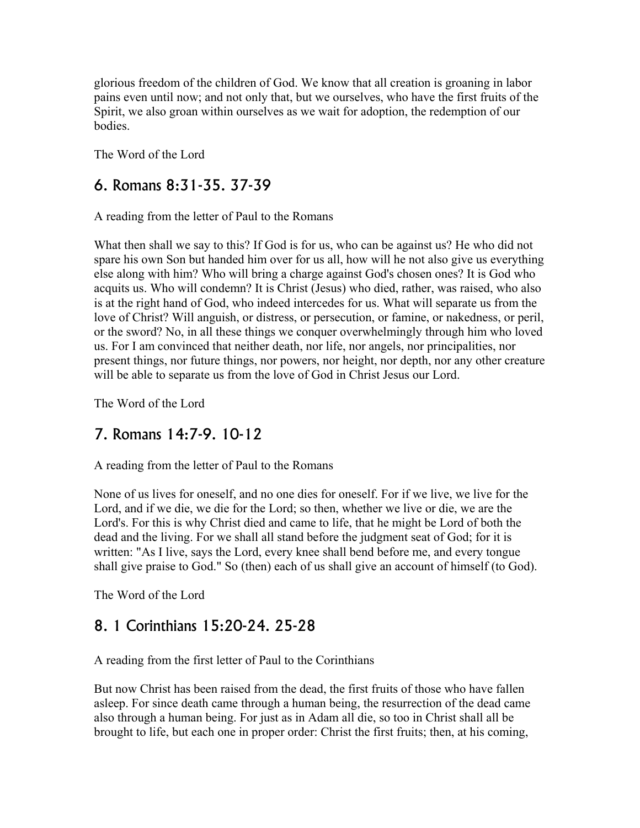glorious freedom of the children of God. We know that all creation is groaning in labor pains even until now; and not only that, but we ourselves, who have the first fruits of the Spirit, we also groan within ourselves as we wait for adoption, the redemption of our bodies.

The Word of the Lord

### 6. Romans 8:31-35. 37-39

A reading from the letter of Paul to the Romans

What then shall we say to this? If God is for us, who can be against us? He who did not spare his own Son but handed him over for us all, how will he not also give us everything else along with him? Who will bring a charge against God's chosen ones? It is God who acquits us. Who will condemn? It is Christ (Jesus) who died, rather, was raised, who also is at the right hand of God, who indeed intercedes for us. What will separate us from the love of Christ? Will anguish, or distress, or persecution, or famine, or nakedness, or peril, or the sword? No, in all these things we conquer overwhelmingly through him who loved us. For I am convinced that neither death, nor life, nor angels, nor principalities, nor present things, nor future things, nor powers, nor height, nor depth, nor any other creature will be able to separate us from the love of God in Christ Jesus our Lord.

The Word of the Lord

### 7. Romans 14:7-9. 10-12

A reading from the letter of Paul to the Romans

None of us lives for oneself, and no one dies for oneself. For if we live, we live for the Lord, and if we die, we die for the Lord; so then, whether we live or die, we are the Lord's. For this is why Christ died and came to life, that he might be Lord of both the dead and the living. For we shall all stand before the judgment seat of God; for it is written: "As I live, says the Lord, every knee shall bend before me, and every tongue shall give praise to God." So (then) each of us shall give an account of himself (to God).

The Word of the Lord

## 8. 1 Corinthians 15:20-24. 25-28

A reading from the first letter of Paul to the Corinthians

But now Christ has been raised from the dead, the first fruits of those who have fallen asleep. For since death came through a human being, the resurrection of the dead came also through a human being. For just as in Adam all die, so too in Christ shall all be brought to life, but each one in proper order: Christ the first fruits; then, at his coming,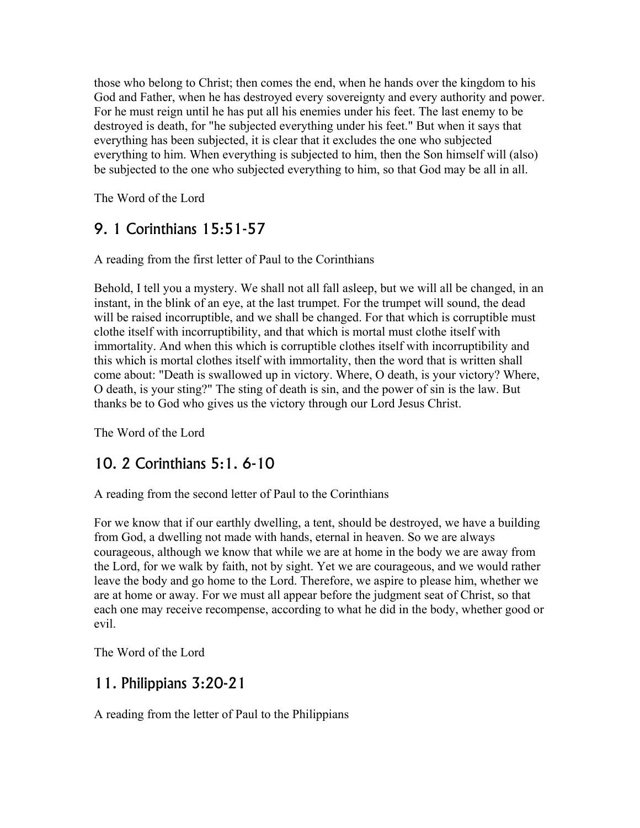those who belong to Christ; then comes the end, when he hands over the kingdom to his God and Father, when he has destroyed every sovereignty and every authority and power. For he must reign until he has put all his enemies under his feet. The last enemy to be destroyed is death, for "he subjected everything under his feet." But when it says that everything has been subjected, it is clear that it excludes the one who subjected everything to him. When everything is subjected to him, then the Son himself will (also) be subjected to the one who subjected everything to him, so that God may be all in all.

The Word of the Lord

## 9. 1 Corinthians 15:51-57

A reading from the first letter of Paul to the Corinthians

Behold, I tell you a mystery. We shall not all fall asleep, but we will all be changed, in an instant, in the blink of an eye, at the last trumpet. For the trumpet will sound, the dead will be raised incorruptible, and we shall be changed. For that which is corruptible must clothe itself with incorruptibility, and that which is mortal must clothe itself with immortality. And when this which is corruptible clothes itself with incorruptibility and this which is mortal clothes itself with immortality, then the word that is written shall come about: "Death is swallowed up in victory. Where, O death, is your victory? Where, O death, is your sting?" The sting of death is sin, and the power of sin is the law. But thanks be to God who gives us the victory through our Lord Jesus Christ.

The Word of the Lord

### 10. 2 Corinthians 5:1. 6-10

A reading from the second letter of Paul to the Corinthians

For we know that if our earthly dwelling, a tent, should be destroyed, we have a building from God, a dwelling not made with hands, eternal in heaven. So we are always courageous, although we know that while we are at home in the body we are away from the Lord, for we walk by faith, not by sight. Yet we are courageous, and we would rather leave the body and go home to the Lord. Therefore, we aspire to please him, whether we are at home or away. For we must all appear before the judgment seat of Christ, so that each one may receive recompense, according to what he did in the body, whether good or evil.

The Word of the Lord

### 11. Philippians 3:20-21

A reading from the letter of Paul to the Philippians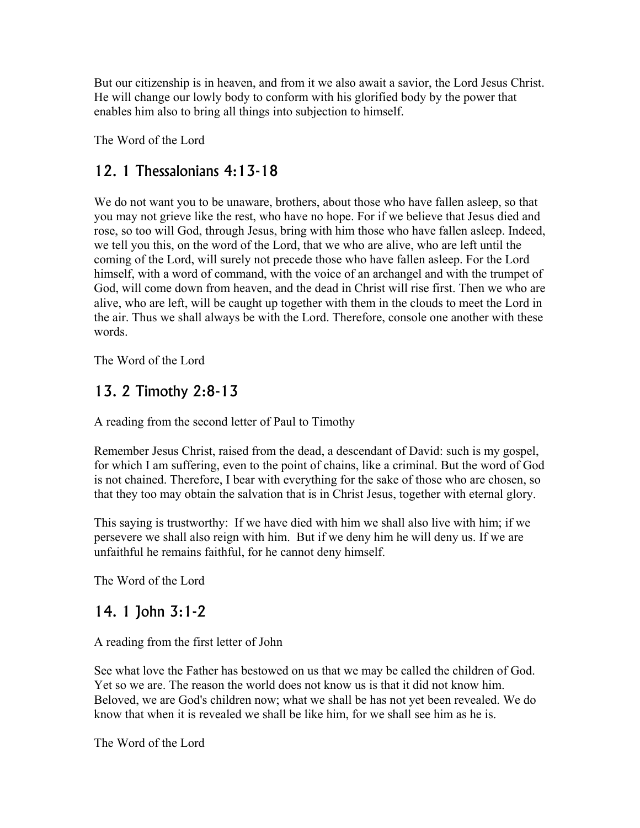But our citizenship is in heaven, and from it we also await a savior, the Lord Jesus Christ. He will change our lowly body to conform with his glorified body by the power that enables him also to bring all things into subjection to himself.

The Word of the Lord

## 12. 1 Thessalonians 4:13-18

We do not want you to be unaware, brothers, about those who have fallen asleep, so that you may not grieve like the rest, who have no hope. For if we believe that Jesus died and rose, so too will God, through Jesus, bring with him those who have fallen asleep. Indeed, we tell you this, on the word of the Lord, that we who are alive, who are left until the coming of the Lord, will surely not precede those who have fallen asleep. For the Lord himself, with a word of command, with the voice of an archangel and with the trumpet of God, will come down from heaven, and the dead in Christ will rise first. Then we who are alive, who are left, will be caught up together with them in the clouds to meet the Lord in the air. Thus we shall always be with the Lord. Therefore, console one another with these words.

The Word of the Lord

### 13. 2 Timothy 2:8-13

A reading from the second letter of Paul to Timothy

Remember Jesus Christ, raised from the dead, a descendant of David: such is my gospel, for which I am suffering, even to the point of chains, like a criminal. But the word of God is not chained. Therefore, I bear with everything for the sake of those who are chosen, so that they too may obtain the salvation that is in Christ Jesus, together with eternal glory.

This saying is trustworthy: If we have died with him we shall also live with him; if we persevere we shall also reign with him. But if we deny him he will deny us. If we are unfaithful he remains faithful, for he cannot deny himself.

The Word of the Lord

## 14. 1 John 3:1-2

A reading from the first letter of John

See what love the Father has bestowed on us that we may be called the children of God. Yet so we are. The reason the world does not know us is that it did not know him. Beloved, we are God's children now; what we shall be has not yet been revealed. We do know that when it is revealed we shall be like him, for we shall see him as he is.

The Word of the Lord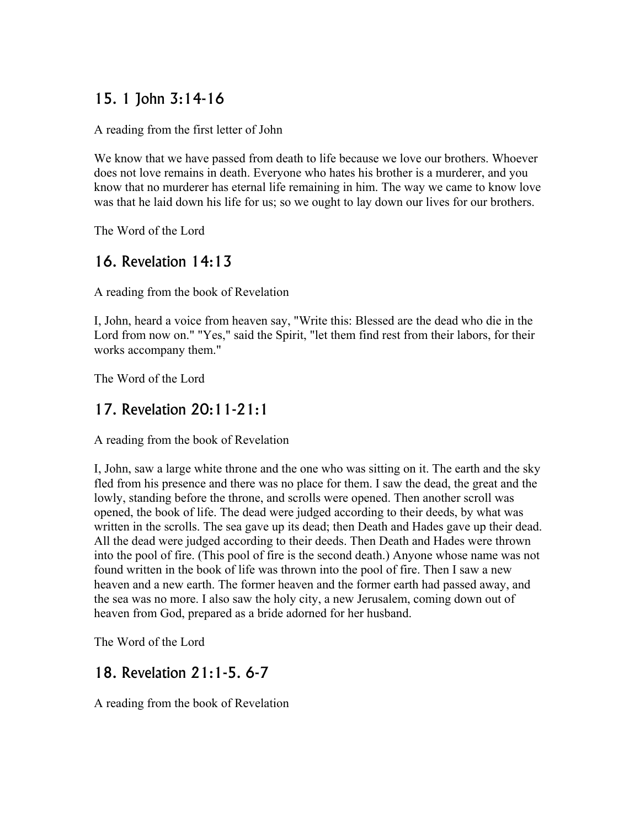## 15. 1 John 3:14-16

A reading from the first letter of John

We know that we have passed from death to life because we love our brothers. Whoever does not love remains in death. Everyone who hates his brother is a murderer, and you know that no murderer has eternal life remaining in him. The way we came to know love was that he laid down his life for us; so we ought to lay down our lives for our brothers.

The Word of the Lord

#### 16. Revelation 14:13

A reading from the book of Revelation

I, John, heard a voice from heaven say, "Write this: Blessed are the dead who die in the Lord from now on." "Yes," said the Spirit, "let them find rest from their labors, for their works accompany them."

The Word of the Lord

#### 17. Revelation 20:11-21:1

A reading from the book of Revelation

I, John, saw a large white throne and the one who was sitting on it. The earth and the sky fled from his presence and there was no place for them. I saw the dead, the great and the lowly, standing before the throne, and scrolls were opened. Then another scroll was opened, the book of life. The dead were judged according to their deeds, by what was written in the scrolls. The sea gave up its dead; then Death and Hades gave up their dead. All the dead were judged according to their deeds. Then Death and Hades were thrown into the pool of fire. (This pool of fire is the second death.) Anyone whose name was not found written in the book of life was thrown into the pool of fire. Then I saw a new heaven and a new earth. The former heaven and the former earth had passed away, and the sea was no more. I also saw the holy city, a new Jerusalem, coming down out of heaven from God, prepared as a bride adorned for her husband.

The Word of the Lord

#### 18. Revelation 21:1-5. 6-7

A reading from the book of Revelation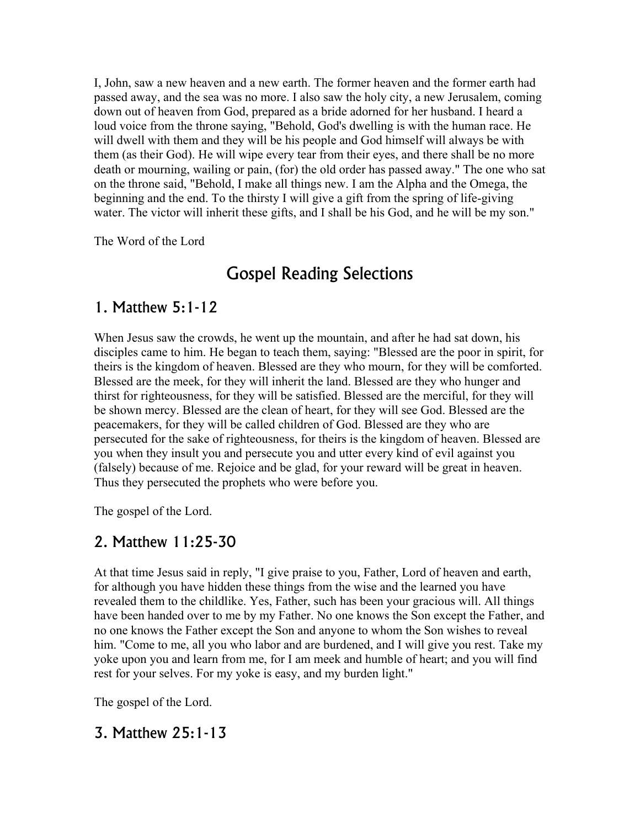I, John, saw a new heaven and a new earth. The former heaven and the former earth had passed away, and the sea was no more. I also saw the holy city, a new Jerusalem, coming down out of heaven from God, prepared as a bride adorned for her husband. I heard a loud voice from the throne saying, "Behold, God's dwelling is with the human race. He will dwell with them and they will be his people and God himself will always be with them (as their God). He will wipe every tear from their eyes, and there shall be no more death or mourning, wailing or pain, (for) the old order has passed away." The one who sat on the throne said, "Behold, I make all things new. I am the Alpha and the Omega, the beginning and the end. To the thirsty I will give a gift from the spring of life-giving water. The victor will inherit these gifts, and I shall be his God, and he will be my son."

The Word of the Lord

# Gospel Reading Selections

### 1. Matthew 5:1-12

When Jesus saw the crowds, he went up the mountain, and after he had sat down, his disciples came to him. He began to teach them, saying: "Blessed are the poor in spirit, for theirs is the kingdom of heaven. Blessed are they who mourn, for they will be comforted. Blessed are the meek, for they will inherit the land. Blessed are they who hunger and thirst for righteousness, for they will be satisfied. Blessed are the merciful, for they will be shown mercy. Blessed are the clean of heart, for they will see God. Blessed are the peacemakers, for they will be called children of God. Blessed are they who are persecuted for the sake of righteousness, for theirs is the kingdom of heaven. Blessed are you when they insult you and persecute you and utter every kind of evil against you (falsely) because of me. Rejoice and be glad, for your reward will be great in heaven. Thus they persecuted the prophets who were before you.

The gospel of the Lord.

## 2. Matthew 11:25-30

At that time Jesus said in reply, "I give praise to you, Father, Lord of heaven and earth, for although you have hidden these things from the wise and the learned you have revealed them to the childlike. Yes, Father, such has been your gracious will. All things have been handed over to me by my Father. No one knows the Son except the Father, and no one knows the Father except the Son and anyone to whom the Son wishes to reveal him. "Come to me, all you who labor and are burdened, and I will give you rest. Take my yoke upon you and learn from me, for I am meek and humble of heart; and you will find rest for your selves. For my yoke is easy, and my burden light."

The gospel of the Lord.

### 3. Matthew 25:1-13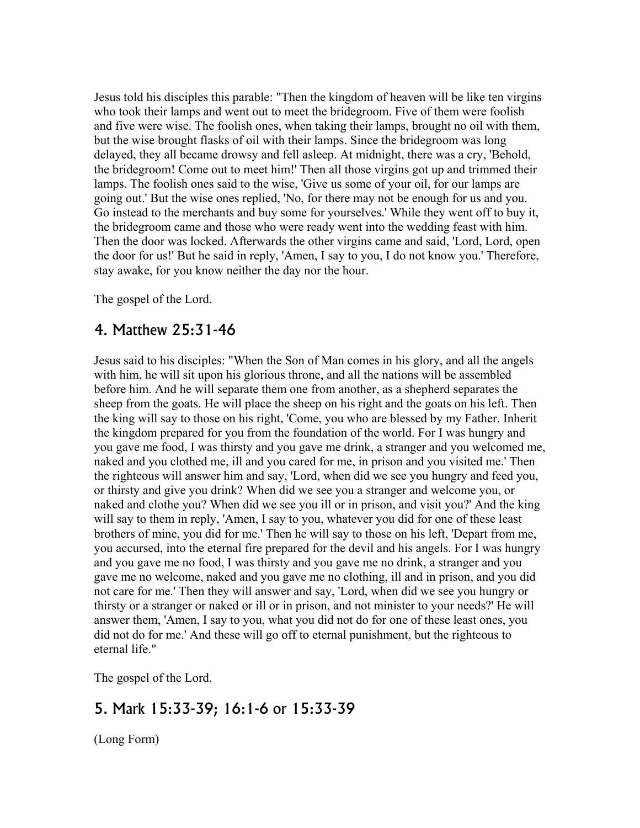Jesus told his disciples this parable: "Then the kingdom of heaven will be like ten virgins who took their lamps and went out to meet the bridegroom. Five of them were foolish and five were wise. The foolish ones, when taking their lamps, brought no oil with them, but the wise brought flasks of oil with their lamps. Since the bridegroom was long delayed, they all became drowsy and fell asleep. At midnight, there was a cry, 'Behold, the bridegroom! Come out to meet him!' Then all those virgins got up and trimmed their lamps. The foolish ones said to the wise, 'Give us some of your oil, for our lamps are going out.' But the wise ones replied, 'No, for there may not be enough for us and you. Go instead to the merchants and buy some for yourselves.' While they went off to buy it, the bridegroom came and those who were ready went into the wedding feast with him. Then the door was locked. Afterwards the other virgins came and said, 'Lord, Lord, open the door for us!' But he said in reply, 'Amen, I say to you, I do not know you.' Therefore, stay awake, for you know neither the day nor the hour.

The gospel of the Lord.

#### 4. Matthew 25:31-46

Jesus said to his disciples: "When the Son of Man comes in his glory, and all the angels with him, he will sit upon his glorious throne, and all the nations will be assembled before him. And he will separate them one from another, as a shepherd separates the sheep from the goats. He will place the sheep on his right and the goats on his left. Then the king will say to those on his right, 'Come, you who are blessed by my Father. Inherit the kingdom prepared for you from the foundation of the world. For I was hungry and you gave me food, I was thirsty and you gave me drink, a stranger and you welcomed me, naked and you clothed me, ill and you cared for me, in prison and you visited me.' Then the righteous will answer him and say, 'Lord, when did we see you hungry and feed you, or thirsty and give you drink? When did we see you a stranger and welcome you, or naked and clothe you? When did we see you ill or in prison, and visit you?' And the king will say to them in reply, 'Amen, I say to you, whatever you did for one of these least brothers of mine, you did for me.' Then he will say to those on his left, 'Depart from me, you accursed, into the eternal fire prepared for the devil and his angels. For I was hungry and you gave me no food, I was thirsty and you gave me no drink, a stranger and you gave me no welcome, naked and you gave me no clothing, ill and in prison, and you did not care for me.' Then they will answer and say, 'Lord, when did we see you hungry or thirsty or a stranger or naked or ill or in prison, and not minister to your needs?' He will answer them, 'Amen, I say to you, what you did not do for one of these least ones, you did not do for me.' And these will go off to eternal punishment, but the righteous to eternal life."

The gospel of the Lord.

## 5. Mark 15:33-39; 16:1-6 or 15:33-39

(Long Form)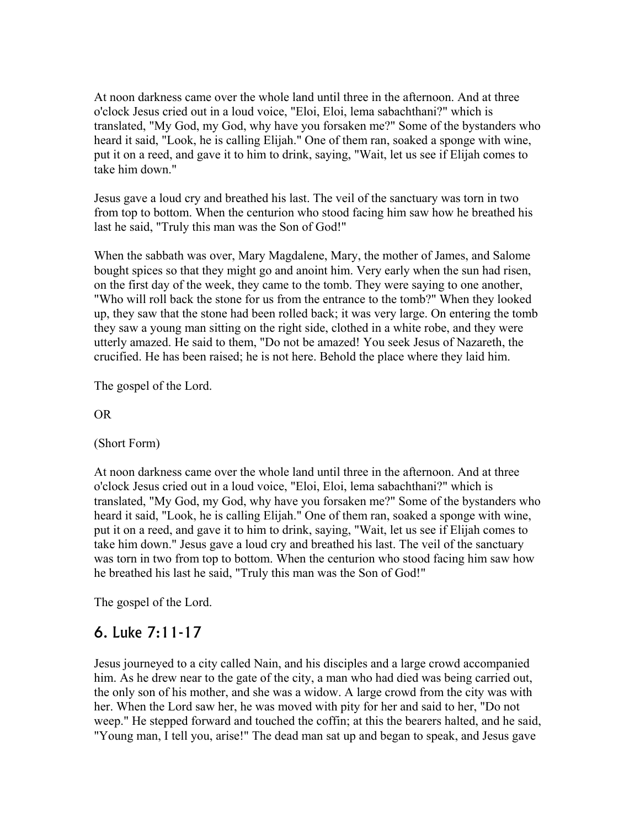At noon darkness came over the whole land until three in the afternoon. And at three o'clock Jesus cried out in a loud voice, "Eloi, Eloi, lema sabachthani?" which is translated, "My God, my God, why have you forsaken me?" Some of the bystanders who heard it said, "Look, he is calling Elijah." One of them ran, soaked a sponge with wine, put it on a reed, and gave it to him to drink, saying, "Wait, let us see if Elijah comes to take him down."

Jesus gave a loud cry and breathed his last. The veil of the sanctuary was torn in two from top to bottom. When the centurion who stood facing him saw how he breathed his last he said, "Truly this man was the Son of God!"

When the sabbath was over, Mary Magdalene, Mary, the mother of James, and Salome bought spices so that they might go and anoint him. Very early when the sun had risen, on the first day of the week, they came to the tomb. They were saying to one another, "Who will roll back the stone for us from the entrance to the tomb?" When they looked up, they saw that the stone had been rolled back; it was very large. On entering the tomb they saw a young man sitting on the right side, clothed in a white robe, and they were utterly amazed. He said to them, "Do not be amazed! You seek Jesus of Nazareth, the crucified. He has been raised; he is not here. Behold the place where they laid him.

The gospel of the Lord.

OR

(Short Form)

At noon darkness came over the whole land until three in the afternoon. And at three o'clock Jesus cried out in a loud voice, "Eloi, Eloi, lema sabachthani?" which is translated, "My God, my God, why have you forsaken me?" Some of the bystanders who heard it said, "Look, he is calling Elijah." One of them ran, soaked a sponge with wine, put it on a reed, and gave it to him to drink, saying, "Wait, let us see if Elijah comes to take him down." Jesus gave a loud cry and breathed his last. The veil of the sanctuary was torn in two from top to bottom. When the centurion who stood facing him saw how he breathed his last he said, "Truly this man was the Son of God!"

The gospel of the Lord.

#### 6. Luke 7:11-17

Jesus journeyed to a city called Nain, and his disciples and a large crowd accompanied him. As he drew near to the gate of the city, a man who had died was being carried out, the only son of his mother, and she was a widow. A large crowd from the city was with her. When the Lord saw her, he was moved with pity for her and said to her, "Do not weep." He stepped forward and touched the coffin; at this the bearers halted, and he said, "Young man, I tell you, arise!" The dead man sat up and began to speak, and Jesus gave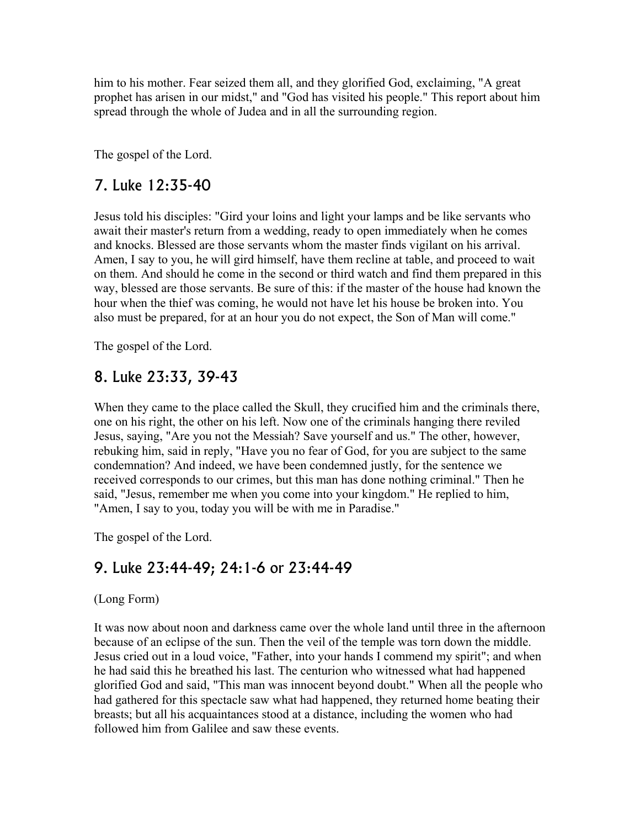him to his mother. Fear seized them all, and they glorified God, exclaiming, "A great prophet has arisen in our midst," and "God has visited his people." This report about him spread through the whole of Judea and in all the surrounding region.

The gospel of the Lord.

### 7. Luke 12:35-40

Jesus told his disciples: "Gird your loins and light your lamps and be like servants who await their master's return from a wedding, ready to open immediately when he comes and knocks. Blessed are those servants whom the master finds vigilant on his arrival. Amen, I say to you, he will gird himself, have them recline at table, and proceed to wait on them. And should he come in the second or third watch and find them prepared in this way, blessed are those servants. Be sure of this: if the master of the house had known the hour when the thief was coming, he would not have let his house be broken into. You also must be prepared, for at an hour you do not expect, the Son of Man will come."

The gospel of the Lord.

### 8. Luke 23:33, 39-43

When they came to the place called the Skull, they crucified him and the criminals there, one on his right, the other on his left. Now one of the criminals hanging there reviled Jesus, saying, "Are you not the Messiah? Save yourself and us." The other, however, rebuking him, said in reply, "Have you no fear of God, for you are subject to the same condemnation? And indeed, we have been condemned justly, for the sentence we received corresponds to our crimes, but this man has done nothing criminal." Then he said, "Jesus, remember me when you come into your kingdom." He replied to him, "Amen, I say to you, today you will be with me in Paradise."

The gospel of the Lord.

## 9. Luke 23:44-49; 24:1-6 or 23:44-49

#### (Long Form)

It was now about noon and darkness came over the whole land until three in the afternoon because of an eclipse of the sun. Then the veil of the temple was torn down the middle. Jesus cried out in a loud voice, "Father, into your hands I commend my spirit"; and when he had said this he breathed his last. The centurion who witnessed what had happened glorified God and said, "This man was innocent beyond doubt." When all the people who had gathered for this spectacle saw what had happened, they returned home beating their breasts; but all his acquaintances stood at a distance, including the women who had followed him from Galilee and saw these events.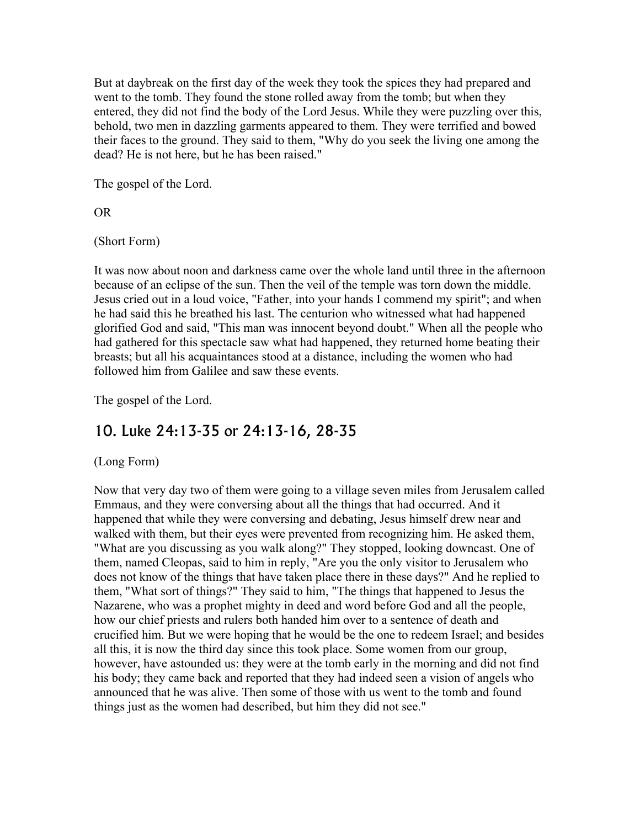But at daybreak on the first day of the week they took the spices they had prepared and went to the tomb. They found the stone rolled away from the tomb; but when they entered, they did not find the body of the Lord Jesus. While they were puzzling over this, behold, two men in dazzling garments appeared to them. They were terrified and bowed their faces to the ground. They said to them, "Why do you seek the living one among the dead? He is not here, but he has been raised."

The gospel of the Lord.

OR

(Short Form)

It was now about noon and darkness came over the whole land until three in the afternoon because of an eclipse of the sun. Then the veil of the temple was torn down the middle. Jesus cried out in a loud voice, "Father, into your hands I commend my spirit"; and when he had said this he breathed his last. The centurion who witnessed what had happened glorified God and said, "This man was innocent beyond doubt." When all the people who had gathered for this spectacle saw what had happened, they returned home beating their breasts; but all his acquaintances stood at a distance, including the women who had followed him from Galilee and saw these events.

The gospel of the Lord.

### 10. Luke 24:13-35 or 24:13-16, 28-35

#### (Long Form)

Now that very day two of them were going to a village seven miles from Jerusalem called Emmaus, and they were conversing about all the things that had occurred. And it happened that while they were conversing and debating, Jesus himself drew near and walked with them, but their eyes were prevented from recognizing him. He asked them, "What are you discussing as you walk along?" They stopped, looking downcast. One of them, named Cleopas, said to him in reply, "Are you the only visitor to Jerusalem who does not know of the things that have taken place there in these days?" And he replied to them, "What sort of things?" They said to him, "The things that happened to Jesus the Nazarene, who was a prophet mighty in deed and word before God and all the people, how our chief priests and rulers both handed him over to a sentence of death and crucified him. But we were hoping that he would be the one to redeem Israel; and besides all this, it is now the third day since this took place. Some women from our group, however, have astounded us: they were at the tomb early in the morning and did not find his body; they came back and reported that they had indeed seen a vision of angels who announced that he was alive. Then some of those with us went to the tomb and found things just as the women had described, but him they did not see."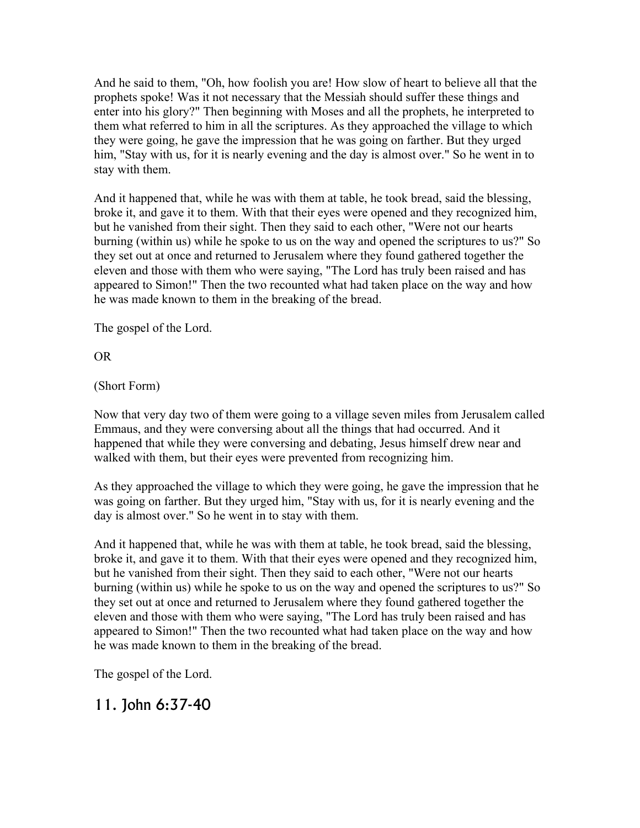And he said to them, "Oh, how foolish you are! How slow of heart to believe all that the prophets spoke! Was it not necessary that the Messiah should suffer these things and enter into his glory?" Then beginning with Moses and all the prophets, he interpreted to them what referred to him in all the scriptures. As they approached the village to which they were going, he gave the impression that he was going on farther. But they urged him, "Stay with us, for it is nearly evening and the day is almost over." So he went in to stay with them.

And it happened that, while he was with them at table, he took bread, said the blessing, broke it, and gave it to them. With that their eyes were opened and they recognized him, but he vanished from their sight. Then they said to each other, "Were not our hearts burning (within us) while he spoke to us on the way and opened the scriptures to us?" So they set out at once and returned to Jerusalem where they found gathered together the eleven and those with them who were saying, "The Lord has truly been raised and has appeared to Simon!" Then the two recounted what had taken place on the way and how he was made known to them in the breaking of the bread.

The gospel of the Lord.

OR

(Short Form)

Now that very day two of them were going to a village seven miles from Jerusalem called Emmaus, and they were conversing about all the things that had occurred. And it happened that while they were conversing and debating, Jesus himself drew near and walked with them, but their eyes were prevented from recognizing him.

As they approached the village to which they were going, he gave the impression that he was going on farther. But they urged him, "Stay with us, for it is nearly evening and the day is almost over." So he went in to stay with them.

And it happened that, while he was with them at table, he took bread, said the blessing, broke it, and gave it to them. With that their eyes were opened and they recognized him, but he vanished from their sight. Then they said to each other, "Were not our hearts burning (within us) while he spoke to us on the way and opened the scriptures to us?" So they set out at once and returned to Jerusalem where they found gathered together the eleven and those with them who were saying, "The Lord has truly been raised and has appeared to Simon!" Then the two recounted what had taken place on the way and how he was made known to them in the breaking of the bread.

The gospel of the Lord.

#### 11. John 6:37-40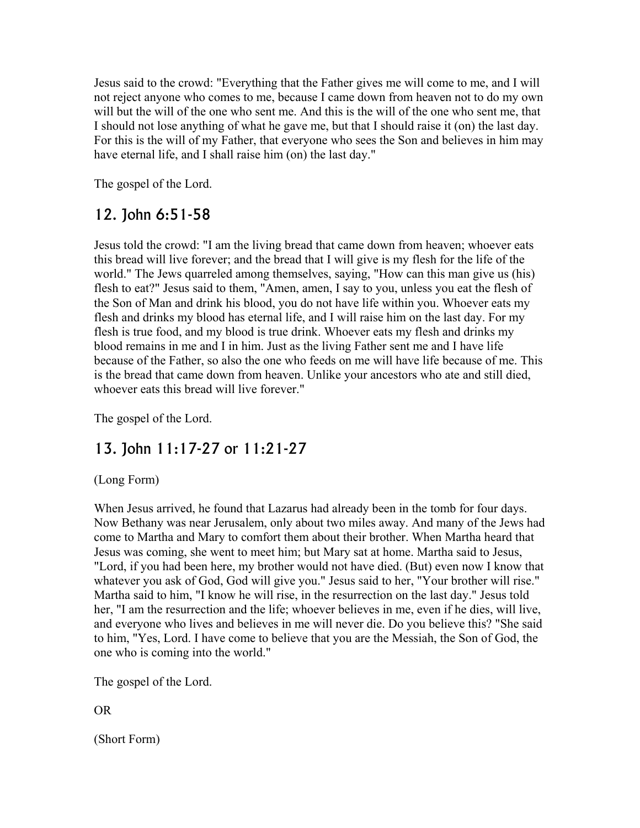Jesus said to the crowd: "Everything that the Father gives me will come to me, and I will not reject anyone who comes to me, because I came down from heaven not to do my own will but the will of the one who sent me. And this is the will of the one who sent me, that I should not lose anything of what he gave me, but that I should raise it (on) the last day. For this is the will of my Father, that everyone who sees the Son and believes in him may have eternal life, and I shall raise him (on) the last day."

The gospel of the Lord.

## 12. John 6:51-58

Jesus told the crowd: "I am the living bread that came down from heaven; whoever eats this bread will live forever; and the bread that I will give is my flesh for the life of the world." The Jews quarreled among themselves, saying, "How can this man give us (his) flesh to eat?" Jesus said to them, "Amen, amen, I say to you, unless you eat the flesh of the Son of Man and drink his blood, you do not have life within you. Whoever eats my flesh and drinks my blood has eternal life, and I will raise him on the last day. For my flesh is true food, and my blood is true drink. Whoever eats my flesh and drinks my blood remains in me and I in him. Just as the living Father sent me and I have life because of the Father, so also the one who feeds on me will have life because of me. This is the bread that came down from heaven. Unlike your ancestors who ate and still died, whoever eats this bread will live forever."

The gospel of the Lord.

### 13. John 11:17-27 or 11:21-27

#### (Long Form)

When Jesus arrived, he found that Lazarus had already been in the tomb for four days. Now Bethany was near Jerusalem, only about two miles away. And many of the Jews had come to Martha and Mary to comfort them about their brother. When Martha heard that Jesus was coming, she went to meet him; but Mary sat at home. Martha said to Jesus, "Lord, if you had been here, my brother would not have died. (But) even now I know that whatever you ask of God, God will give you." Jesus said to her, "Your brother will rise." Martha said to him, "I know he will rise, in the resurrection on the last day." Jesus told her, "I am the resurrection and the life; whoever believes in me, even if he dies, will live, and everyone who lives and believes in me will never die. Do you believe this? "She said to him, "Yes, Lord. I have come to believe that you are the Messiah, the Son of God, the one who is coming into the world."

The gospel of the Lord.

OR

(Short Form)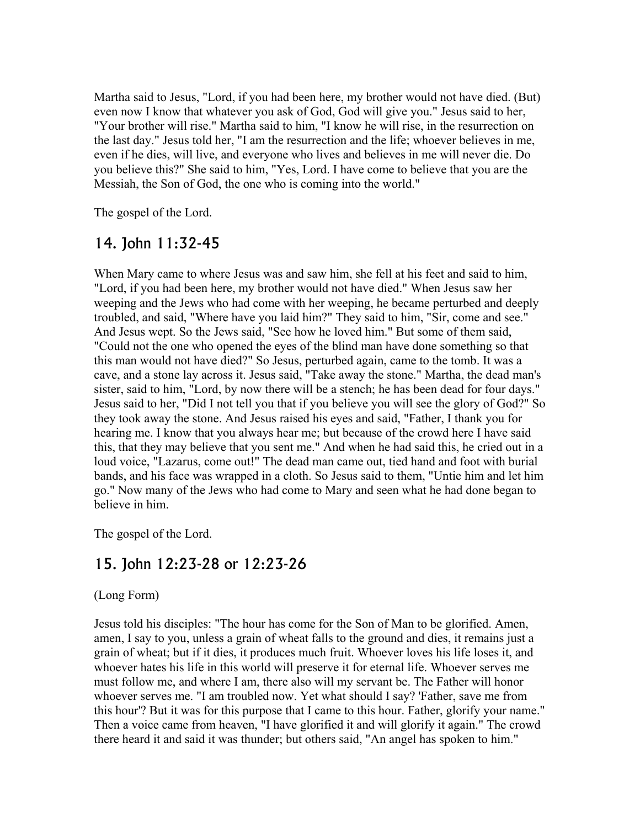Martha said to Jesus, "Lord, if you had been here, my brother would not have died. (But) even now I know that whatever you ask of God, God will give you." Jesus said to her, "Your brother will rise." Martha said to him, "I know he will rise, in the resurrection on the last day." Jesus told her, "I am the resurrection and the life; whoever believes in me, even if he dies, will live, and everyone who lives and believes in me will never die. Do you believe this?" She said to him, "Yes, Lord. I have come to believe that you are the Messiah, the Son of God, the one who is coming into the world."

The gospel of the Lord.

### 14. John 11:32-45

When Mary came to where Jesus was and saw him, she fell at his feet and said to him, "Lord, if you had been here, my brother would not have died." When Jesus saw her weeping and the Jews who had come with her weeping, he became perturbed and deeply troubled, and said, "Where have you laid him?" They said to him, "Sir, come and see." And Jesus wept. So the Jews said, "See how he loved him." But some of them said, "Could not the one who opened the eyes of the blind man have done something so that this man would not have died?" So Jesus, perturbed again, came to the tomb. It was a cave, and a stone lay across it. Jesus said, "Take away the stone." Martha, the dead man's sister, said to him, "Lord, by now there will be a stench; he has been dead for four days." Jesus said to her, "Did I not tell you that if you believe you will see the glory of God?" So they took away the stone. And Jesus raised his eyes and said, "Father, I thank you for hearing me. I know that you always hear me; but because of the crowd here I have said this, that they may believe that you sent me." And when he had said this, he cried out in a loud voice, "Lazarus, come out!" The dead man came out, tied hand and foot with burial bands, and his face was wrapped in a cloth. So Jesus said to them, "Untie him and let him go." Now many of the Jews who had come to Mary and seen what he had done began to believe in him.

The gospel of the Lord.

#### 15. John 12:23-28 or 12:23-26

#### (Long Form)

Jesus told his disciples: "The hour has come for the Son of Man to be glorified. Amen, amen, I say to you, unless a grain of wheat falls to the ground and dies, it remains just a grain of wheat; but if it dies, it produces much fruit. Whoever loves his life loses it, and whoever hates his life in this world will preserve it for eternal life. Whoever serves me must follow me, and where I am, there also will my servant be. The Father will honor whoever serves me. "I am troubled now. Yet what should I say? 'Father, save me from this hour'? But it was for this purpose that I came to this hour. Father, glorify your name." Then a voice came from heaven, "I have glorified it and will glorify it again." The crowd there heard it and said it was thunder; but others said, "An angel has spoken to him."